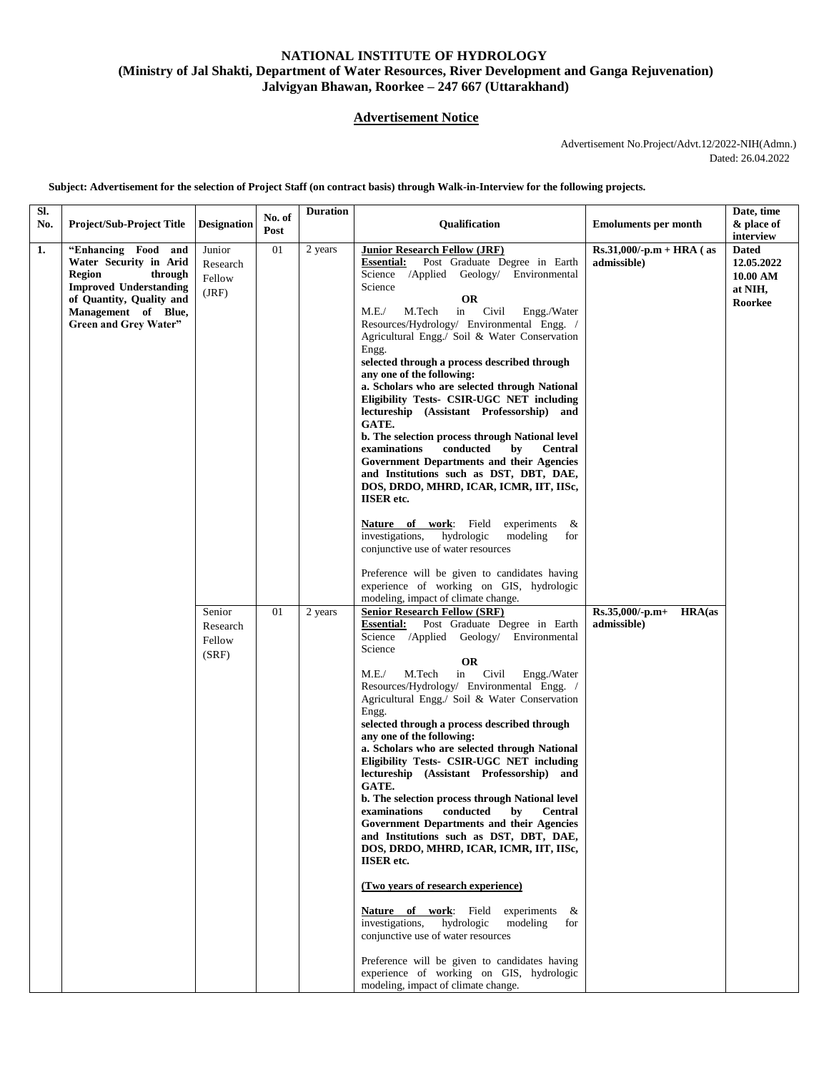## **NATIONAL INSTITUTE OF HYDROLOGY (Ministry of Jal Shakti, Department of Water Resources, River Development and Ganga Rejuvenation) Jalvigyan Bhawan, Roorkee – 247 667 (Uttarakhand)**

## **Advertisement Notice**

 Advertisement No.Project/Advt.12/2022-NIH(Admn.) Dated: 26.04.2022

**Subject: Advertisement for the selection of Project Staff (on contract basis) through Walk-in-Interview for the following projects.**

| SI.<br>No.       | <b>Project/Sub-Project Title</b>                                                                                                                                                       | <b>Designation</b>                    | No. of<br>Post | <b>Duration</b> | <b>Oualification</b>                                                                                                                                                                                                                                                                                                                                                                                                                                                                                                                                                                                                                                                                                                                                                                                                                                                                                                                                                                                                                                                                                                                                                                   | <b>Emoluments per month</b>                | Date, time<br>& place of<br>interview                        |
|------------------|----------------------------------------------------------------------------------------------------------------------------------------------------------------------------------------|---------------------------------------|----------------|-----------------|----------------------------------------------------------------------------------------------------------------------------------------------------------------------------------------------------------------------------------------------------------------------------------------------------------------------------------------------------------------------------------------------------------------------------------------------------------------------------------------------------------------------------------------------------------------------------------------------------------------------------------------------------------------------------------------------------------------------------------------------------------------------------------------------------------------------------------------------------------------------------------------------------------------------------------------------------------------------------------------------------------------------------------------------------------------------------------------------------------------------------------------------------------------------------------------|--------------------------------------------|--------------------------------------------------------------|
| $\overline{1}$ . | "Enhancing Food and<br>Water Security in Arid<br><b>Region</b><br>through<br><b>Improved Understanding</b><br>of Quantity, Quality and<br>Management of Blue,<br>Green and Grey Water" | Junior<br>Research<br>Fellow<br>(JRF) | 01             | 2 years         | <b>Junior Research Fellow (JRF)</b><br>Post Graduate Degree in Earth<br><b>Essential:</b><br>Science /Applied Geology/ Environmental<br>Science<br><b>OR</b><br>Civil<br>M.E./<br>M.Tech<br>in<br>Engg./Water<br>Resources/Hydrology/ Environmental Engg. /<br>Agricultural Engg./ Soil & Water Conservation<br>Engg.<br>selected through a process described through<br>any one of the following:<br>a. Scholars who are selected through National<br>Eligibility Tests- CSIR-UGC NET including<br>lectureship (Assistant Professorship) and<br>GATE.<br>b. The selection process through National level<br>examinations<br>conducted<br><b>Central</b><br>by<br>Government Departments and their Agencies<br>and Institutions such as DST, DBT, DAE,<br>DOS, DRDO, MHRD, ICAR, ICMR, IIT, IISc,<br><b>IISER</b> etc.<br><b>Nature of work:</b> Field<br>experiments<br>&<br>investigations,<br>hydrologic<br>modeling<br>for<br>conjunctive use of water resources<br>Preference will be given to candidates having<br>experience of working on GIS, hydrologic                                                                                                                      | $Rs.31,000/-p.m + HRA$ (as<br>admissible)  | <b>Dated</b><br>12.05.2022<br>10.00 AM<br>at NIH,<br>Roorkee |
|                  |                                                                                                                                                                                        | Senior<br>Research<br>Fellow<br>(SRF) | 01             | 2 years         | modeling, impact of climate change.<br><b>Senior Research Fellow (SRF)</b><br>Post Graduate Degree in Earth<br><b>Essential:</b><br>Science /Applied Geology/ Environmental<br>Science<br><b>OR</b><br>in<br>Civil<br>M.E./<br>M.Tech<br>Engg./Water<br>Resources/Hydrology/ Environmental Engg. /<br>Agricultural Engg./ Soil & Water Conservation<br>Engg.<br>selected through a process described through<br>any one of the following:<br>a. Scholars who are selected through National<br>Eligibility Tests- CSIR-UGC NET including<br>lectureship (Assistant Professorship) and<br><b>GATE.</b><br>b. The selection process through National level<br>conducted<br>$\mathbf{by}$<br>Central<br>examinations<br>Government Departments and their Agencies<br>and Institutions such as DST, DBT, DAE,<br>DOS, DRDO, MHRD, ICAR, ICMR, IIT, IISc,<br><b>IISER</b> etc.<br>(Two years of research experience)<br>Nature of work: Field<br>experiments &<br>investigations,<br>hydrologic<br>modeling<br>for<br>conjunctive use of water resources<br>Preference will be given to candidates having<br>experience of working on GIS, hydrologic<br>modeling, impact of climate change. | HRA(as<br>$Rs.35,000/-p.m+$<br>admissible) |                                                              |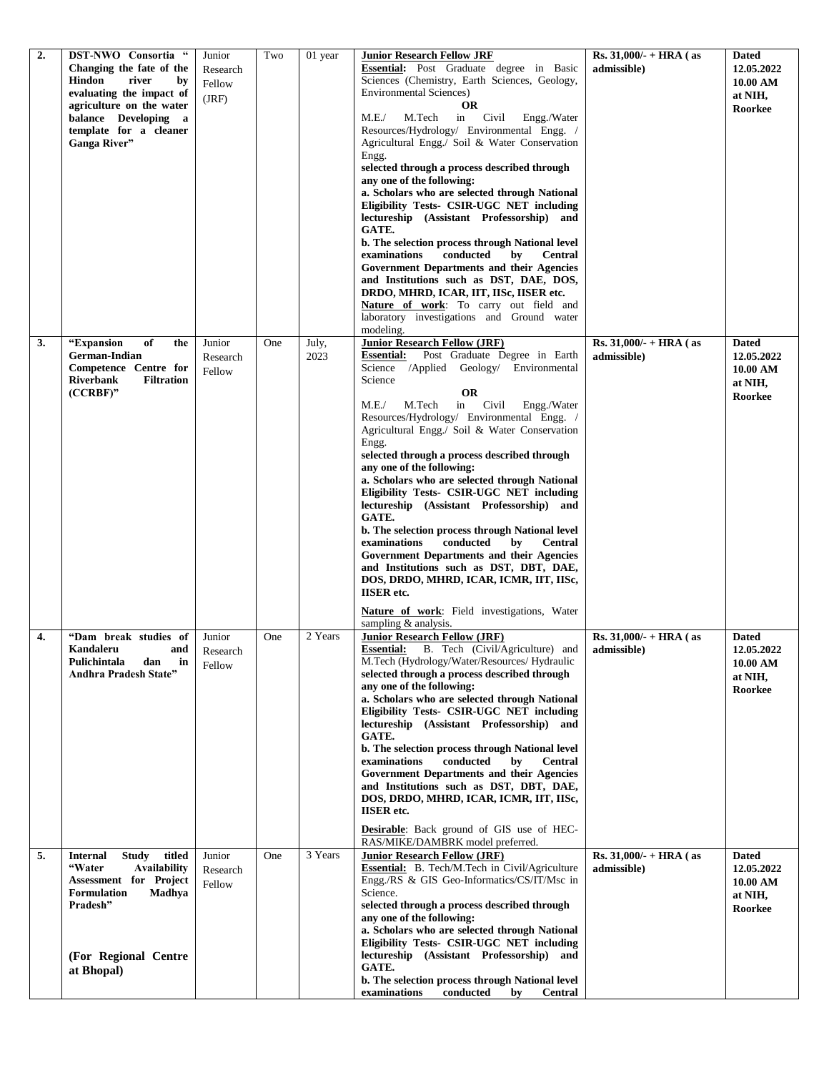| 2. | DST-NWO Consortia "                                  | Junior             | Two | 01 year       | <b>Junior Research Fellow JRF</b>                                                                    | Rs. $31,000/- + HRA$ (as                 | <b>Dated</b>               |
|----|------------------------------------------------------|--------------------|-----|---------------|------------------------------------------------------------------------------------------------------|------------------------------------------|----------------------------|
|    | Changing the fate of the                             | Research           |     |               | Essential: Post Graduate degree in Basic                                                             | admissible)                              | 12.05.2022                 |
|    | <b>Hindon</b><br>river<br>by                         | Fellow             |     |               | Sciences (Chemistry, Earth Sciences, Geology,                                                        |                                          | 10.00 AM                   |
|    | evaluating the impact of                             | (JRF)              |     |               | <b>Environmental Sciences)</b>                                                                       |                                          | at NIH,                    |
|    | agriculture on the water<br>balance Developing a     |                    |     |               | <b>OR</b><br>Civil<br>M.E./<br>M.Tech<br>in<br>Engg./Water                                           |                                          | Roorkee                    |
|    | template for a cleaner                               |                    |     |               | Resources/Hydrology/ Environmental Engg. /                                                           |                                          |                            |
|    | Ganga River"                                         |                    |     |               | Agricultural Engg./ Soil & Water Conservation                                                        |                                          |                            |
|    |                                                      |                    |     |               | Engg.                                                                                                |                                          |                            |
|    |                                                      |                    |     |               | selected through a process described through                                                         |                                          |                            |
|    |                                                      |                    |     |               | any one of the following:                                                                            |                                          |                            |
|    |                                                      |                    |     |               | a. Scholars who are selected through National                                                        |                                          |                            |
|    |                                                      |                    |     |               | Eligibility Tests- CSIR-UGC NET including                                                            |                                          |                            |
|    |                                                      |                    |     |               | lectureship (Assistant Professorship) and<br>GATE.                                                   |                                          |                            |
|    |                                                      |                    |     |               | b. The selection process through National level                                                      |                                          |                            |
|    |                                                      |                    |     |               | conducted<br>examinations<br>by<br><b>Central</b>                                                    |                                          |                            |
|    |                                                      |                    |     |               | <b>Government Departments and their Agencies</b>                                                     |                                          |                            |
|    |                                                      |                    |     |               | and Institutions such as DST, DAE, DOS,                                                              |                                          |                            |
|    |                                                      |                    |     |               | DRDO, MHRD, ICAR, IIT, IISc, IISER etc.                                                              |                                          |                            |
|    |                                                      |                    |     |               | Nature of work: To carry out field and                                                               |                                          |                            |
|    |                                                      |                    |     |               | laboratory investigations and Ground water                                                           |                                          |                            |
|    |                                                      |                    |     |               | modeling.<br><b>Junior Research Fellow (JRF)</b>                                                     |                                          |                            |
| 3. | "Expansion<br>of<br>the<br><b>German-Indian</b>      | Junior             | One | July,<br>2023 | <b>Essential:</b><br>Post Graduate Degree in Earth                                                   | Rs. $31,000/$ - + HRA (as<br>admissible) | <b>Dated</b><br>12.05.2022 |
|    | Competence Centre for                                | Research<br>Fellow |     |               | Science /Applied Geology/ Environmental                                                              |                                          | 10.00 AM                   |
|    | <b>Riverbank</b><br><b>Filtration</b>                |                    |     |               | Science                                                                                              |                                          | at NIH,                    |
|    | $(CCRBF)$ "                                          |                    |     |               | <b>OR</b>                                                                                            |                                          | Roorkee                    |
|    |                                                      |                    |     |               | in Civil<br>M.E./<br>M.Tech<br>Engg./Water                                                           |                                          |                            |
|    |                                                      |                    |     |               | Resources/Hydrology/ Environmental Engg. /                                                           |                                          |                            |
|    |                                                      |                    |     |               | Agricultural Engg./ Soil & Water Conservation<br>Engg.                                               |                                          |                            |
|    |                                                      |                    |     |               | selected through a process described through                                                         |                                          |                            |
|    |                                                      |                    |     |               | any one of the following:                                                                            |                                          |                            |
|    |                                                      |                    |     |               | a. Scholars who are selected through National                                                        |                                          |                            |
|    |                                                      |                    |     |               | Eligibility Tests- CSIR-UGC NET including                                                            |                                          |                            |
|    |                                                      |                    |     |               | lectureship (Assistant Professorship) and                                                            |                                          |                            |
|    |                                                      |                    |     |               | <b>GATE.</b>                                                                                         |                                          |                            |
|    |                                                      |                    |     |               | b. The selection process through National level<br>conducted<br>examinations<br>by<br><b>Central</b> |                                          |                            |
|    |                                                      |                    |     |               | Government Departments and their Agencies                                                            |                                          |                            |
|    |                                                      |                    |     |               | and Institutions such as DST, DBT, DAE,                                                              |                                          |                            |
|    |                                                      |                    |     |               | DOS, DRDO, MHRD, ICAR, ICMR, IIT, IISc,                                                              |                                          |                            |
|    |                                                      |                    |     |               | <b>IISER</b> etc.                                                                                    |                                          |                            |
|    |                                                      |                    |     |               | Nature of work: Field investigations, Water                                                          |                                          |                            |
|    |                                                      |                    |     |               | sampling $&$ analysis.                                                                               |                                          |                            |
| 4. | "Dam break studies of                                | Junior             | One | 2 Years       | <b>Junior Research Fellow (JRF)</b>                                                                  | Rs. $31,000/- + HRA$ (as                 | <b>Dated</b>               |
|    | <b>Kandaleru</b><br>and<br>Pulichintala<br>dan<br>in | Research           |     |               | Essential: B. Tech (Civil/Agriculture) and<br>M.Tech (Hydrology/Water/Resources/ Hydraulic           | admissible)                              | 12.05.2022<br>10.00 AM     |
|    | <b>Andhra Pradesh State"</b>                         | Fellow             |     |               | selected through a process described through                                                         |                                          | at NIH,                    |
|    |                                                      |                    |     |               | any one of the following:                                                                            |                                          | Roorkee                    |
|    |                                                      |                    |     |               | a. Scholars who are selected through National                                                        |                                          |                            |
|    |                                                      |                    |     |               | Eligibility Tests- CSIR-UGC NET including                                                            |                                          |                            |
|    |                                                      |                    |     |               | lectureship (Assistant Professorship) and<br>GATE.                                                   |                                          |                            |
|    |                                                      |                    |     |               | b. The selection process through National level                                                      |                                          |                            |
|    |                                                      |                    |     |               | examinations<br>conducted<br>by<br><b>Central</b>                                                    |                                          |                            |
|    |                                                      |                    |     |               | Government Departments and their Agencies                                                            |                                          |                            |
|    |                                                      |                    |     |               | and Institutions such as DST, DBT, DAE,                                                              |                                          |                            |
|    |                                                      |                    |     |               | DOS, DRDO, MHRD, ICAR, ICMR, IIT, IISc,<br><b>IISER</b> etc.                                         |                                          |                            |
|    |                                                      |                    |     |               |                                                                                                      |                                          |                            |
|    |                                                      |                    |     |               | Desirable: Back ground of GIS use of HEC-                                                            |                                          |                            |
| 5. | <b>Internal</b><br><b>Study</b><br>titled            | Junior             | One | 3 Years       | RAS/MIKE/DAMBRK model preferred.<br><b>Junior Research Fellow (JRF)</b>                              | Rs. $31,000/- + HRA$ (as                 | <b>Dated</b>               |
|    | "Water<br><b>Availability</b>                        | Research           |     |               | Essential: B. Tech/M.Tech in Civil/Agriculture                                                       | admissible)                              | 12.05.2022                 |
|    | Assessment for Project                               | Fellow             |     |               | Engg./RS & GIS Geo-Informatics/CS/IT/Msc in                                                          |                                          | 10.00 AM                   |
|    | <b>Formulation</b><br>Madhya                         |                    |     |               | Science.                                                                                             |                                          | at NIH,                    |
|    | Pradesh"                                             |                    |     |               | selected through a process described through                                                         |                                          | Roorkee                    |
|    |                                                      |                    |     |               | any one of the following:<br>a. Scholars who are selected through National                           |                                          |                            |
|    |                                                      |                    |     |               | Eligibility Tests- CSIR-UGC NET including                                                            |                                          |                            |
|    | (For Regional Centre                                 |                    |     |               | lectureship (Assistant Professorship) and                                                            |                                          |                            |
|    | at Bhopal)                                           |                    |     |               | GATE.                                                                                                |                                          |                            |
|    |                                                      |                    |     |               | b. The selection process through National level                                                      |                                          |                            |
|    |                                                      |                    |     |               | examinations<br>conducted<br><b>Central</b><br>by                                                    |                                          |                            |